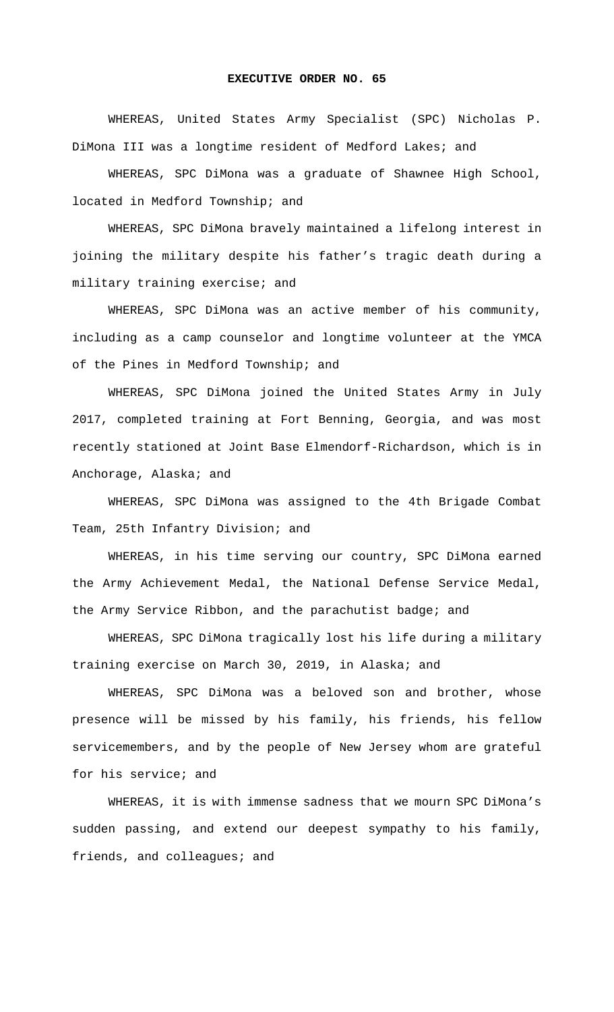## **EXECUTIVE ORDER NO. 65**

WHEREAS, United States Army Specialist (SPC) Nicholas P. DiMona III was a longtime resident of Medford Lakes; and

WHEREAS, SPC DiMona was a graduate of Shawnee High School, located in Medford Township; and

WHEREAS, SPC DiMona bravely maintained a lifelong interest in joining the military despite his father's tragic death during a military training exercise; and

WHEREAS, SPC DiMona was an active member of his community, including as a camp counselor and longtime volunteer at the YMCA of the Pines in Medford Township; and

WHEREAS, SPC DiMona joined the United States Army in July 2017, completed training at Fort Benning, Georgia, and was most recently stationed at Joint Base Elmendorf-Richardson, which is in Anchorage, Alaska; and

WHEREAS, SPC DiMona was assigned to the 4th Brigade Combat Team, 25th Infantry Division; and

WHEREAS, in his time serving our country, SPC DiMona earned the Army Achievement Medal, the National Defense Service Medal, the Army Service Ribbon, and the parachutist badge; and

WHEREAS, SPC DiMona tragically lost his life during a military training exercise on March 30, 2019, in Alaska; and

WHEREAS, SPC DiMona was a beloved son and brother, whose presence will be missed by his family, his friends, his fellow servicemembers, and by the people of New Jersey whom are grateful for his service; and

WHEREAS, it is with immense sadness that we mourn SPC DiMona's sudden passing, and extend our deepest sympathy to his family, friends, and colleagues; and